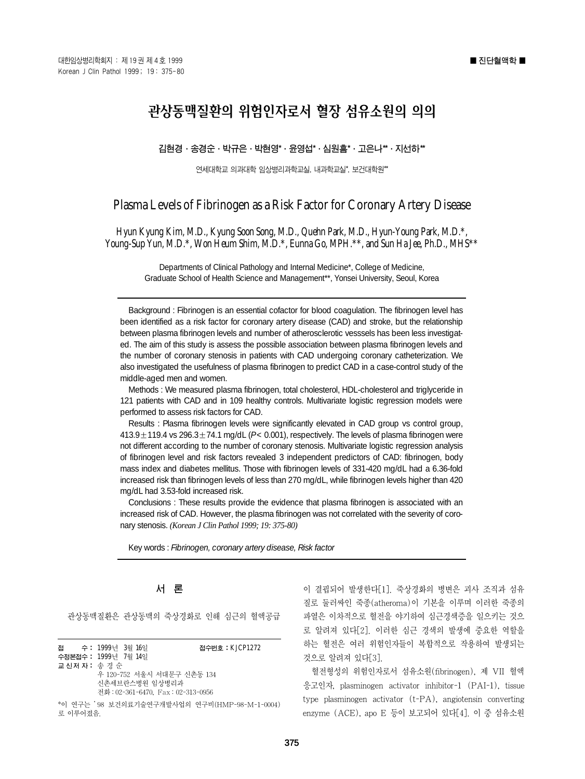# 관상동맥질환의 위험인자로서 혈장 섬유소원의 의의

김현경∙송경순∙박규은∙박현영\*∙윤영섭\*∙심원흠\*∙고은나\*\*∙지선하\*\*

연세대학교 의과대학 임상병리과학교실, 내과학교실\*, 보건대학원\*\*

### Plasma Levels of Fibrinogen as a Risk Factor for Coronary Artery Disease

Hyun Kyung Kim, M.D., Kyung Soon Song, M.D., Quehn Park, M.D., Hyun-Young Park, M.D.\*, Young-Sup Yun, M.D.\*, Won Heum Shim, M.D.\*, Eunna Go, MPH.\*\*, and Sun Ha Jee, Ph.D., MHS\*\*

> Departments of Clinical Pathology and Internal Medicine\*, College of Medicine, Graduate School of Health Science and Management\*\*, Yonsei University, Seoul, Korea

Background : Fibrinogen is an essential cofactor for blood coagulation. The fibrinogen level has been identified as a risk factor for coronary artery disease (CAD) and stroke, but the relationship between plasma fibrinogen levels and number of atherosclerotic vesssels has been less investigated. The aim of this study is assess the possible association between plasma fibrinogen levels and the number of coronary stenosis in patients with CAD undergoing coronary catheterization. We also investigated the usefulness of plasma fibrinogen to predict CAD in a case-control study of the middle-aged men and women.

Methods : We measured plasma fibrinogen, total cholesterol, HDL-cholesterol and triglyceride in 121 patients with CAD and in 109 healthy controls. Multivariate logistic regression models were performed to assess risk factors for CAD.

Results : Plasma fibrinogen levels were significantly elevated in CAD group vs control group, 413.9±119.4 vs 296.3±74.1 mg/dL (*P*< 0.001), respectively. The levels of plasma fibrinogen were not different according to the number of coronary stenosis. Multivariate logistic regression analysis of fibrinogen level and risk factors revealed 3 independent predictors of CAD: fibrinogen, body mass index and diabetes mellitus. Those with fibrinogen levels of 331-420 mg/dL had a 6.36-fold increased risk than fibrinogen levels of less than 270 mg/dL, while fibrinogen levels higher than 420 mg/dL had 3.53-fold increased risk.

Conclusions : These results provide the evidence that plasma fibrinogen is associated with an increased risk of CAD. However, the plasma fibrinogen was not correlated with the severity of coronary stenosis. *(Korean J Clin Pathol 1999; 19: 375-80)*

Key words : *Fibrinogen, coronary artery disease, Risk factor*

### 서 론

관상동맥질환은 관상동맥의 죽상경화로 인해 심근의 혈액공급

접 수 : 1999년 3월 16일 접수번호 : KJCP1272 수정본접수 : 1999년 7월 14일 교 신저 자 : 송 경 순 우 120-752 서울시 서대문구 신촌동 134 신촌세브란스병원 임상병리과 전화: 02-361-6470, Fax: 02-313-0956 \*이 연구는 '98 보건의료기술연구개발사업의 연구비(HMP-98-M-1-0004)

로 이루어졌음.

이 결핍되어 발생한다[1]. 죽상경화의 병변은 괴사 조직과 섬유 질로 둘러싸인 죽종(atheroma)이 기본을 이루며 이러한 죽종의 파열은 이차적으로 혈전을 야기하여 심근경색증을 일으키는 것으 로 알려져 있다[2]. 이러한 심근 경색의 발생에 중요한 역할을 하는 혈전은 여러 위험인자들이 복합적으로 작용하여 발생되는 것으로 알려져 있다[3].

혈전형성의 위험인자로서 섬유소원(fibrinogen), 제 VII 혈액 응고인자, plasminogen activator inhibitor-1 (PAI-1), tissue type plasminogen activator (t-PA), angiotensin converting enzyme (ACE), apo E 등이 보고되어 있다[4]. 이 중 섬유소원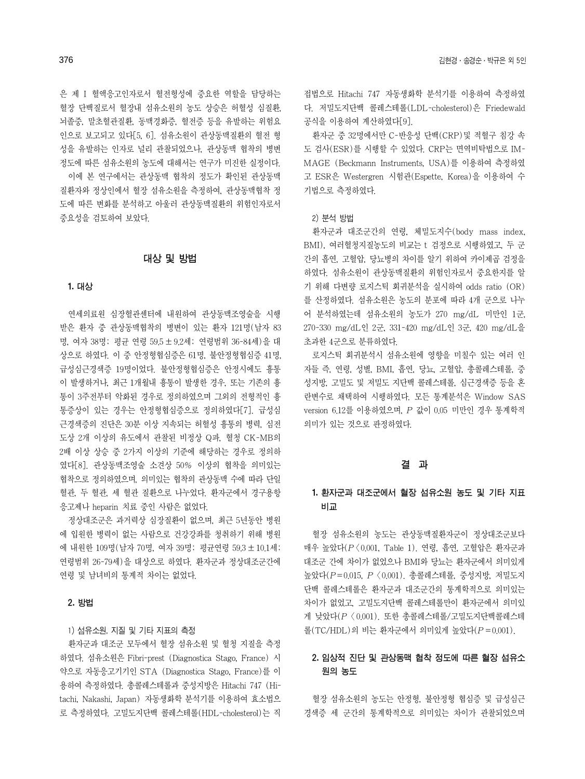은 제 I 혈액응고인자로서 혈전형성에 중요한 역할을 담당하는 혈장 단백질로서 혈장내 섬유소원의 농도 상승은 허혈성 심질환, 뇌졸중, 말초혈관질환, 동맥경화증, 혈전증 등을 유발하는 위험요 인으로 보고되고 있다[5, 6]. 섬유소원이 관상동맥질환의 혈전 형 성을 유발하는 인자로 널리 관찰되었으나, 관상동맥 협착의 병변 정도에 따른 섬유소원의 농도에 대해서는 연구가 미진한 실정이다. 이에 본 연구에서는 관상동맥 협착의 정도가 확인된 관상동맥 질환자와 정상인에서 혈장 섬유소원을 측정하여, 관상동맥협착 정 도에 따른 변화를 분석하고 아울러 관상동맥질환의 위험인자로서 중요성을 검토하여 보았다.

### 대상 및 방법

#### 1. 대상

연세의료원 심장혈관센터에 내원하여 관상동맥조영술을 시행 받은 환자 중 관상동맥협착의 병변이 있는 환자 121명(남자 83 명, 여자 38명; 평균 연령 59.5± 9.2세; 연령범위 36-84세)을 대 상으로 하였다. 이 중 안정형협심증은 61명, 불안정형협심증 41명, 급성심근경색증 19명이었다. 불안정형협심증은 안정시에도 흉통 이 발생하거나, 최근 1개월내 흉통이 발생한 경우, 또는 기존의 흉 통이 3주전부터 악화된 경우로 정의하였으며 그외의 전형적인 흉 통증상이 있는 경우는 안정형협심증으로 정의하였다[7]. 급성심 근경색증의 진단은 30분 이상 지속되는 허혈성 흉통의 병력, 심전 도상 2개 이상의 유도에서 관찰된 비정상 Q파, 혈청 CK-MB의 2배 이상 상승 중 2가지 이상의 기준에 해당하는 경우로 정의하 였다[8]. 관상동맥조영술 소견상 50% 이상의 협착을 의미있는 협착으로 정의하였으며, 의미있는 협착의 관상동맥 수에 따라 단일 혈관, 두 혈관, 세 혈관 질환으로 나누었다. 환자군에서 경구용항 응고제나 heparin 치료 중인 사람은 없었다.

정상대조군은 과거력상 심장질환이 없으며, 최근 5년동안 병원 에 입원한 병력이 없는 사람으로 건강강좌를 청취하기 위해 병원 에 내원한 109명(남자 70명, 여자 39명; 평균연령 59.3± 10.1세; 연령범위 26-79세)을 대상으로 하였다. 환자군과 정상대조군간에 연령 및 남녀비의 통계적 차이는 없었다.

### 2. 방법

#### 1) 섬유소원, 지질 및 기타 지표의 측정

환자군과 대조군 모두에서 혈장 섬유소원 및 혈청 지질을 측정 하였다. 섬유소원은 Fibri-prest (Diagnostica Stago, France) 시 약으로 자동응고기기인 STA (Diagnostica Stago, France)를 이 용하여 측정하였다. 총콜레스테롤과 중성지방은 Hitachi 747 (Hitachi, Nakashi, Japan) 자동생화학 분석기를 이용하여 효소법으 로 측정하였다. 고밀도지단백 콜레스테롤(HDL-cholesterol)는 직 접법으로 Hitachi 747 자동생화학 분석기를 이용하여 측정하였 다. 저밀도지단백 콜레스테롤(LDL-cholesterol)은 Friedewald 공식을 이용하여 계산하였다[9].

환자군 중 32명에서만 C-반응성 단백(CRP)및 적혈구 침강 속 도 검사(ESR)를 시행할 수 있었다. CRP는 면역비탁법으로 IM-MAGE (Beckmann Instruments, USA)를 이용하여 측정하였 고 ESR은 Westergren 시험관(Espette, Korea)을 이용하여 수 기법으로 측정하였다.

#### 2) 분석 방법

환자군과 대조군간의 연령, 체밀도지수(body mass index, BMI), 여러혈청지질농도의 비교는 t 검정으로 시행하였고, 두 군 간의 흡연, 고혈압, 당뇨병의 차이를 알기 위하여 카이제곱 검정을 하였다. 섬유소원이 관상동맥질환의 위험인자로서 중요한지를 알 기 위해 다변량 로지스틱 회귀분석을 실시하여 odds ratio (OR) 를 산정하였다. 섬유소원은 농도의 분포에 따라 4개 군으로 나누 어 분석하였는데 섬유소원의 농도가 270 mg/dL 미만인 1군, 270-330 mg/dL인 2군, 331-420 mg/dL인 3군, 420 mg/dL을 초과한 4군으로 분류하였다.

로지스틱 회귀분석시 섬유소원에 영향을 미칠수 있는 여러 인 자들 즉, 연령, 성별, BMI, 흡연, 당뇨, 고혈압, 총콜레스테롤, 중 성지방, 고밀도 및 저밀도 지단백 콜레스테롤, 심근경색증 등을 혼 란변수로 채택하여 시행하였다. 모든 통계분석은 Window SAS version 6.12를 이용하였으며, P 값이 0.05 미만인 경우 통계학적 의미가 있는 것으로 판정하였다.

### 결 과

### 1. 환자군과 대조군에서 혈장 섬유소원 농도 및 기타 지표 비교

혈장 섬유소원의 농도는 관상동맥질환자군이 정상대조군보다 매우 높았다(P < 0.001, Table 1). 연령, 흡연, 고혈압은 환자군과 대조군 간에 차이가 없었으나 BMI와 당뇨는 환자군에서 의미있게 높았다(P=0.015, P < 0.001). 총콜레스테롤, 중성지방, 저밀도지 단백 콜레스테롤은 환자군과 대조군간의 통계학적으로 의미있는 차이가 없었고, 고밀도지단백 콜레스테롤만이 환자군에서 의미있 게 낮았다(P < 0.001). 또한 총콜레스테롤/고밀도지단백콜레스테 롤(TC/HDL)의 비는 환자군에서 의미있게 높았다(P=0.001).

## 2. 임상적 진단 및 관상동맥 협착 정도에 따른 혈장 섬유소 원의 농도

혈장 섬유소원의 농도는 안정형, 불안정형 협심증 및 급성심근 경색증 세 군간의 통계학적으로 의미있는 차이가 관찰되었으며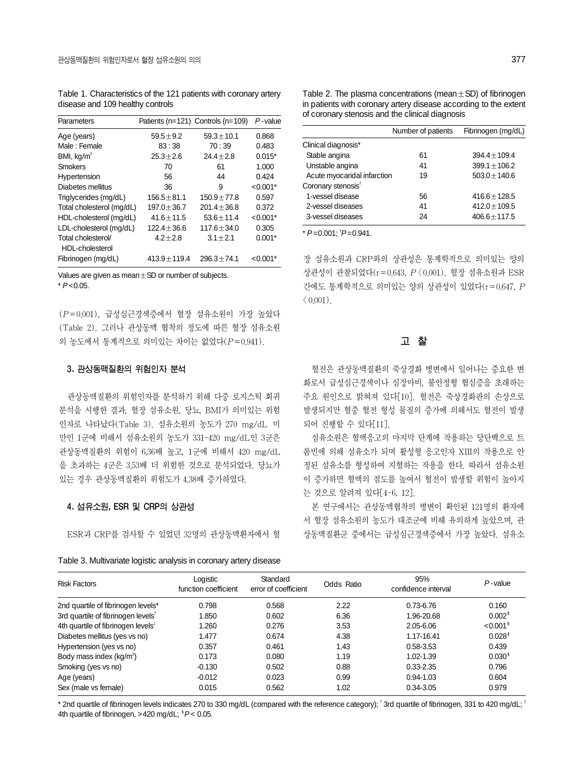Table 1. Characteristics of the 121 patients with coronary artery disease and 109 healthy controls

| Parameters                            |                  | Patients ( $n=121$ ) Controls ( $n=109$ ) | $P$ -value |
|---------------------------------------|------------------|-------------------------------------------|------------|
| Age (years)                           | $59.5 \pm 9.2$   | $59.3 \pm 10.1$                           | 0.868      |
| Male: Female                          | 83 : 38          | 70:39                                     | 0.483      |
| BMI, kg/m <sup>2</sup>                | $25.3 + 2.6$     | $24.4 + 2.8$                              | $0.015*$   |
| <b>Smokers</b>                        | 70               | 61                                        | 1.000      |
| Hypertension                          | 56               | 44                                        | 0.424      |
| Diabetes mellitus                     | 36               | 9                                         | $< 0.001*$ |
| Triglycerides (mg/dL)                 | $156.5 \pm 81.1$ | $150.9 \pm 77.8$                          | 0.597      |
| Total cholesterol (mg/dL)             | $197.0 \pm 36.7$ | $201.4 \pm 36.8$                          | 0.372      |
| HDL-cholesterol (mg/dL)               | $41.6 \pm 11.5$  | $53.6 \pm 11.4$                           | $< 0.001*$ |
| LDL-cholesterol (mg/dL)               | $122.4 \pm 36.6$ | $117.6 \pm 34.0$                          | 0.305      |
| Total cholesterol/<br>HDI-cholesterol | $4.2 \pm 2.8$    | $3.1 \pm 2.1$                             | $0.001*$   |
| Fibrinogen (mg/dL)                    | 413.9±119.4      | $296.3 \pm 74.1$                          | $< 0.001*$ |

Values are given as mean±SD or number of subjects.

 $*$   $P < 0.05$ .

(P=0.001), 급성심근경색증에서 혈장 섬유소원이 가장 높았다 (Table 2). 그러나 관상동맥 협착의 정도에 따른 혈장 섬유소원 의 농도에서 통계적으로 의미있는 차이는 없었다(P=0.941).

#### 3. 관상동맥질환의 위험인자 분석

관상동맥질환의 위험인자를 분석하기 위해 다중 로지스틱 회귀 분석을 시행한 결과, 혈장 섬유소원, 당뇨, BMI가 의미있는 위험 인자로 나타났다(Table 3). 섬유소원의 농도가 270 mg/dL 미 만인 1군에 비해서 섬유소원의 농도가 331-420 mg/dL인 3군은 관상동맥질환의 위험이 6.36배 높고, 1군에 비해서 420 mg/dL 을 초과하는 4군은 3.53배 더 위험한 것으로 분석되었다. 당뇨가 있는 경우 관상동맥질환의 위험도가 4.38배 증가하였다.

#### 4. 섬유소원, ESR 및 CRP의 상관성

ESR과 CRP를 검사할 수 있었던 32명의 관상동맥환자에서 혈

| Table 3. Multivariate logistic analysis in coronary artery disease |  |  |
|--------------------------------------------------------------------|--|--|
|                                                                    |  |  |

Table 2. The plasma concentrations (mean $\pm$ SD) of fibrinogen in patients with coronary artery disease according to the extent of coronary stenosis and the clinical diagnosis

|                                | Number of patients | Fibrinogen (mg/dL) |
|--------------------------------|--------------------|--------------------|
| Clinical diagnosis*            |                    |                    |
| Stable angina                  | 61                 | $394.4 \pm 109.4$  |
| Unstable angina                | 41                 | $399.1 \pm 106.2$  |
| Acute myocaridal infarction    | 19                 | $503.0 \pm 140.6$  |
| Coronary stenosis <sup>t</sup> |                    |                    |
| 1-vessel disease               | 56                 | $416.6 \pm 128.5$  |
| 2-vessel diseases              | 41                 | $412.0 \pm 109.5$  |
| 3-vessel diseases              | 24                 | $406.6 + 117.5$    |

\* *P* =0.001; � *P* =0.941.

장 섬유소원과 CRP와의 상관성은 통계학적으로 의미있는 양의 상관성이 관찰되었다(r=0.643, P < 0.001). 혈장 섬유소원과 ESR 간에도 통계학적으로 의미있는 양의 상관성이 있었다(r=0.647, P  $(0.001)$ .

### 고 찰

혈전은 관상동맥질환의 죽상경화 병변에서 일어나는 중요한 변 화로서 급성심근경색이나 심장마비, 불안정형 협심증을 초래하는 주요 원인으로 밝혀져 있다[10]. 혈전은 죽상경화판의 손상으로 발생되지만 혈중 혈전 형성 물질의 증가에 의해서도 혈전이 발생 되어 진행할 수 있다[11].

섬유소원은 혈액응고의 마지막 단계에 작용하는 당단백으로 트 롬빈에 의해 섬유소가 되며 활성형 응고인자 XIII의 작용으로 안 정된 섬유소를 형성하여 지혈하는 작용을 한다. 따라서 섬유소원 이 증가하면 혈액의 점도를 높여서 혈전이 발생할 위험이 높아지 는 것으로 알려져 있다[4-6, 12].

본 연구에서는 관상동맥협착의 병변이 확인된 121명의 환자에 서 혈장 섬유소원의 농도가 대조군에 비해 유의하게 높았으며, 관 상동맥질환군 중에서는 급성심근경색증에서 가장 높았다. 섬유소

| <b>Risk Factors</b>                            | Logistic<br>function coefficient | Standard<br>error of coefficient | Odds Ratio | 95%<br>confidence interval | $P$ -value             |
|------------------------------------------------|----------------------------------|----------------------------------|------------|----------------------------|------------------------|
| 2nd quartile of fibrinogen levels*             | 0.798                            | 0.568                            | 2.22       | $0.73 - 6.76$              | 0.160                  |
| 3rd quartile of fibrinogen levels <sup>t</sup> | 1.850                            | 0.602                            | 6.36       | 1.96-20.68                 | $0.002$ <sup>\$</sup>  |
| 4th quartile of fibrinogen levels <sup>#</sup> | 1.260                            | 0.276                            | 3.53       | $2.05 - 6.06$              | $< 0.001$ <sup>§</sup> |
| Diabetes mellitus (yes vs no)                  | 1.477                            | 0.674                            | 4.38       | 1.17-16.41                 | $0.028$ <sup>\$</sup>  |
| Hypertension (yes vs no)                       | 0.357                            | 0.461                            | 1.43       | $0.58 - 3.53$              | 0.439                  |
| Body mass index (kg/m <sup>2</sup> )           | 0.173                            | 0.080                            | 1.19       | 1.02-1.39                  | $0.030*$               |
| Smoking (yes vs no)                            | $-0.130$                         | 0.502                            | 0.88       | $0.33 - 2.35$              | 0.796                  |
| Age (years)                                    | $-0.012$                         | 0.023                            | 0.99       | $0.94 - 1.03$              | 0.604                  |
| Sex (male vs female)                           | 0.015                            | 0.562                            | 1.02       | $0.34 - 3.05$              | 0.979                  |

\* 2nd quartile of fibrinogen levels indicates 270 to 330 mg/dL (compared with the reference category); <sup>†</sup> 3rd quartile of fibrinogen, 331 to 420 mg/dL; <sup>‡</sup> 4th quartile of fibrinogen,  $>420$  mg/dL;  ${}^{8}P < 0.05$ .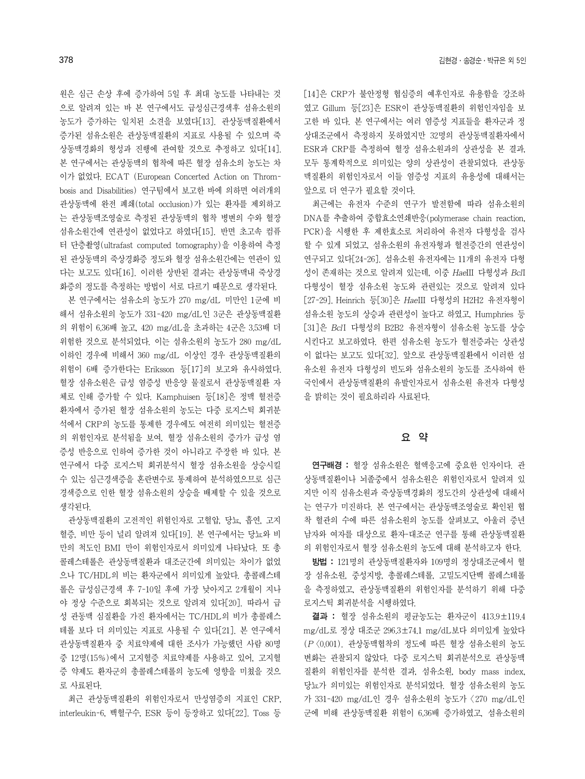원은 심근 손상 후에 증가하여 5일 후 최대 농도를 나타내는 것 으로 알려져 있는 바 본 연구에서도 급성심근경색후 섬유소원의 농도가 증가하는 일치된 소견을 보였다[13]. 관상동맥질환에서 증가된 섬유소원은 관상동맥질환의 지표로 사용될 수 있으며 죽 상동맥경화의 형성과 진행에 관여할 것으로 추정하고 있다[14]. 본 연구에서는 관상동맥의 협착에 따른 혈장 섬유소의 농도는 차 이가 없었다. ECAT (European Concerted Action on Thrombosis and Disabilities) 연구팀에서 보고한 바에 의하면 여러개의 관상동맥에 완전 폐쇄(total occlusion)가 있는 환자를 제외하고 는 관상동맥조영술로 측정된 관상동맥의 협착 병변의 수와 혈장 섬유소원간에 연관성이 없었다고 하였다[15]. 반면 초고속 컴퓨 터 단층촬영(ultrafast computed tomography)을 이용하여 측정 된 관상동맥의 죽상경화증 정도와 혈장 섬유소원간에는 연관이 있 다는 보고도 있다[16]. 이러한 상반된 결과는 관상동맥내 죽상경 화증의 정도를 측정하는 방법이 서로 다르기 때문으로 생각된다.

본 연구에서는 섬유소의 농도가 270 mg/dL 미만인 1군에 비 해서 섬유소원의 농도가 331-420 mg/dL인 3군은 관상동맥질환 의 위험이 6.36배 높고, 420 mg/dL을 초과하는 4군은 3.53배 더 위험한 것으로 분석되었다. 이는 섬유소원의 농도가 280 mg/dL 이하인 경우에 비해서 360 mg/dL 이상인 경우 관상동맥질환의 위험이 6배 증가한다는 Eriksson 등[17]의 보고와 유사하였다. 혈장 섬유소원은 급성 염증성 반응양 물질로서 관상동맥질환 자 체로 인해 증가할 수 있다. Kamphuisen 등[18]은 정맥 혈전증 환자에서 증가된 혈장 섬유소원의 농도는 다중 로지스틱 회귀분 석에서 CRP의 농도를 통제한 경우에도 여전히 의미있는 혈전증 의 위험인자로 분석됨을 보여, 혈장 섬유소원의 증가가 급성 염 증성 반응으로 인하여 증가한 것이 아니라고 주장한 바 있다. 본 연구에서 다중 로지스틱 회귀분석시 혈장 섬유소원을 상승시킬 수 있는 심근경색증을 혼란변수로 통제하여 분석하였으므로 심근 경색증으로 인한 혈장 섬유소원의 상승을 배제할 수 있을 것으로 생각된다.

관상동맥질환의 고전적인 위험인자로 고혈압, 당뇨, 흡연, 고지 혈증, 비만 등이 널리 알려져 있다[19]. 본 연구에서는 당뇨와 비 만의 척도인 BMI 만이 위험인자로서 의미있게 나타났다. 또 총 콜레스테롤은 관상동맥질환과 대조군간에 의미있는 차이가 없었 으나 TC/HDL의 비는 환자군에서 의미있게 높았다. 총콜레스테 롤은 급성심근경색 후 7-10일 후에 가장 낮아지고 2개월이 지나 야 정상 수준으로 회복되는 것으로 알려져 있다[20]. 따라서 급 성 관동맥 심질환을 가진 환자에서는 TC/HDL의 비가 총콜레스 테롤 보다 더 의미있는 지표로 사용될 수 있다[21]. 본 연구에서 관상동맥질환자 중 치료약제에 대한 조사가 가능했던 사람 80명 중 12명(15%)에서 고지혈증 치료약제를 사용하고 있어, 고지혈 증 약제도 환자군의 총콜레스테롤의 농도에 영향을 미쳤을 것으 로 사료된다.

최근 관상동맥질환의 위험인자로서 만성염증의 지표인 CRP, interleukin-6, 백혈구수, ESR 등이 등장하고 있다[22]. Toss 등

[14]은 CRP가 불안정형 협심증의 예후인자로 유용함을 강조하 였고 Gillum 등[23]은 ESR이 관상동맥질환의 위험인자임을 보 고한 바 있다. 본 연구에서는 여러 염증성 지표들을 환자군과 정 상대조군에서 측정하지 못하였지만 32명의 관상동맥질환자에서 ESR과 CRP를 측정하여 혈장 섬유소원과의 상관성을 본 결과, 모두 통계학적으로 의미있는 양의 상관성이 관찰되었다. 관상동 맥질환의 위험인자로서 이들 염증성 지표의 유용성에 대해서는 앞으로 더 연구가 필요할 것이다.

최근에는 유전자 수준의 연구가 발전함에 따라 섬유소원의 DNA를 추출하여 중합효소연쇄반응(polymerase chain reaction, PCR)을 시행한 후 제한효소로 처리하여 유전자 다형성을 검사 할 수 있게 되었고, 섬유소원의 유전자형과 혈전증간의 연관성이 연구되고 있다[24-26]. 섬유소원 유전자에는 11개의 유전자 다형 성이 존재하는 것으로 알려져 있는데, 이중 HaeIII 다형성과 BclI 다형성이 혈장 섬유소원 농도와 관련있는 것으로 알려져 있다 [27-29]. Heinrich 등[30]은 HaeIII 다형성의 H2H2 유전자형이 섬유소원 농도의 상승과 관련성이 높다고 하였고, Humphries 등 [31]은 BclI 다형성의 B2B2 유전자형이 섬유소원 농도를 상승 시킨다고 보고하였다. 한편 섬유소원 농도가 혈전증과는 상관성 이 없다는 보고도 있다[32]. 앞으로 관상동맥질환에서 이러한 섬 유소원 유전자 다형성의 빈도와 섬유소원의 농도를 조사하여 한 국인에서 관상동맥질환의 유발인자로서 섬유소원 유전자 다형성 을 밝히는 것이 필요하리라 사료된다.

## 요 약

연구배경 : 혈장 섬유소원은 혈액응고에 중요한 인자이다. 관 상동맥질환이나 뇌졸중에서 섬유소원은 위험인자로서 알려져 있 지만 이직 섬유소원과 죽상동맥경화의 정도간의 상관성에 대해서 는 연구가 미진하다. 본 연구에서는 관상동맥조영술로 확인된 협 착 혈관의 수에 따른 섬유소원의 농도를 살펴보고, 아울러 중년 남자와 여자를 대상으로 환자-대조군 연구를 통해 관상동맥질환 의 위험인자로서 혈장 섬유소원의 농도에 대해 분석하고자 한다.

방법 : 121명의 관상동맥질환자와 109명의 정상대조군에서 혈 장 섬유소원, 중성지방, 총콜레스테롤, 고밀도지단백 콜레스테롤 을 측정하였고, 관상동맥질환의 위험인자를 분석하기 위해 다중 로지스틱 회귀분석을 시행하였다.

결과 : 혈장 섬유소원의 평균농도는 환자군이 413.9±119.4 mg/dL로 정상 대조군 296.3±74.1 mg/dL보다 의미있게 높았다 (P <0.001). 관상동맥협착의 정도에 따른 혈장 섬유소원의 농도 변화는 관찰되지 않았다. 다중 로지스틱 회귀분석으로 관상동맥 질환의 위험인자를 분석한 결과, 섬유소원, body mass index, 당뇨가 의미있는 위험인자로 분석되었다. 혈장 섬유소원의 농도 가 331-420 mg/dL인 경우 섬유소원의 농도가 < 270 mg/dL인 군에 비해 관상동맥질환 위험이 6.36배 증가하였고, 섬유소원의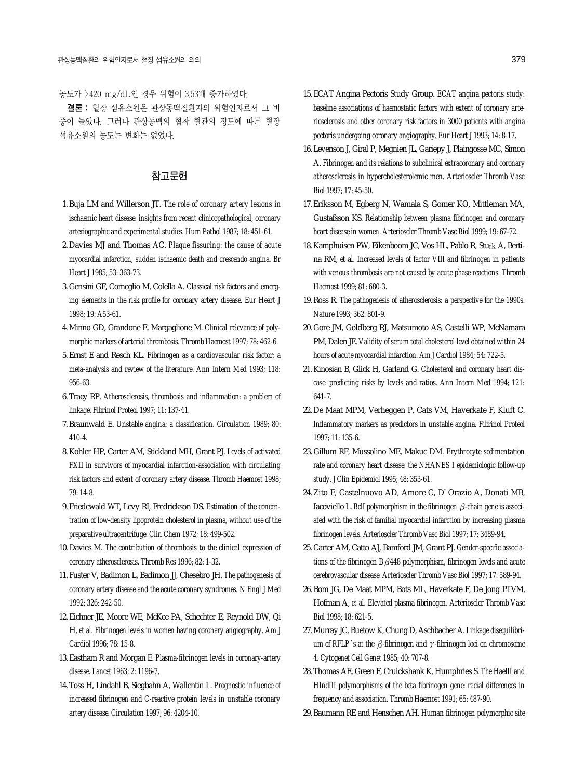농도가 > 420 mg/dL인 경우 위험이 3.53배 증가하였다.

결론 : 혈장 섬유소원은 관상동맥질환자의 위험인자로서 그 비 중이 높았다. 그러나 관상동맥의 협착 혈관의 정도에 따른 혈장 섬유소원의 농도는 변화는 없었다.

### 참고문헌

- 1. Buja LM and Willerson JT. *The role of coronary artery lesions in ischaemic heart disease: insights from recent clinicopathological, coronary arteriographic and experimental studies. Hum Pathol 1987; 18: 451-61.*
- 2. Davies MJ and Thomas AC. *Plaque fissuring: the cause of acute myocardial infarction, sudden ischaemic death and crescendo angina. Br Heart J 1985; 53: 363-73.*
- 3. Gensini GF, Comeglio M, Colella A. *Classical risk factors and emerging elements in the risk profile for coronary artery disease. Eur Heart J 1998; 19: A53-61.*
- 4. Minno GD, Grandone E, Margaglione M. *Clinical relevance of polymorphic markers of arterial thrombosis. Thromb Haemost 1997; 78: 462-6.*
- 5. Ernst E and Resch KL. *Fibrinogen as a cardiovascular risk factor: a meta-analysis and review of the literature. Ann Intern Med 1993; 118: 956-63.*
- 6. Tracy RP. *Atherosclerosis, thrombosis and inflammation: a problem of linkage. Fibrinol Proteol 1997; 11: 137-41.*
- 7. Braunwald E. *Unstable angina: a classification. Circulation 1989; 80: 410-4.*
- 8. Kohler HP, Carter AM, Stickland MH, Grant PJ. *Levels of activated FXII in survivors of myocardial infarction-association with circulating risk factors and extent of coronary artery disease. Thromb Haemost 1998; 79: 14-8.*
- 9. Friedewald WT, Levy RI, Fredrickson DS. *Estimation of the concentration of low-density lipoprotein cholesterol in plasma, without use of the preparative ultracentrifuge. Clin Chem 1972; 18: 499-502.*
- 10. Davies M. *The contribution of thrombosis to the clinical expression of coronary atherosclerosis. Thromb Res 1996; 82: 1-32.*
- 11. Fuster V, Badimon L, Badimon JJ, Chesebro JH. *The pathogenesis of coronary artery disease and the acute coronary syndromes. N Engl J Med 1992; 326: 242-50.*
- 12. Eichner JE, Moore WE, McKee PA, Schechter E, Reynold DW, Qi H, *et al. Fibrinogen levels in women having coronary angiography. Am J Cardiol 1996; 78: 15-8.*
- 13. Eastham R and Morgan E. *Plasma-fibrinogen levels in coronary-artery disease. Lancet 1963; 2: 1196-7.*
- 14. Toss H, Lindahl B, Siegbahn A, Wallentin L. *Prognostic influence of increased fibrinogen and C-reactive protein levels in unstable coronary artery disease. Circulation 1997; 96: 4204-10.*
- 15. ECAT Angina Pectoris Study Group. *ECAT angina pectoris study: baseline associations of haemostatic factors with extent of coronary arteriosclerosis and other coronary risk factors in 3000 patients with angina pectoris undergoing coronary angiography. Eur Heart J 1993; 14: 8-17.*
- 16. Levenson J, Giral P, Megnien JL, Gariepy J, Plaingosse MC, Simon A. *Fibrinogen and its relations to subclinical extracoronary and coronary atherosclerosis in hypercholesterolemic men. Arterioscler Thromb Vasc Biol 1997; 17: 45-50.*
- 17. Eriksson M, Egberg N, Wamala S, Gomer KO, Mittleman MA, Gustafsson KS. *Relationship between plasma fibrinogen and coronary heart disease in women. Arterioscler Thromb Vasc Biol 1999; 19: 67-72.*
- 18. Kamphuisen PW, Eikenboom JC, Vos HL, Pablo R, Sturk A, Bertina RM, *et al. Increased levels of factor VIII and fibrinogen in patients with venous thrombosis are not caused by acute phase reactions. Thromb Haemost 1999; 81: 680-3.*
- 19. Ross R. *The pathogenesis of atherosclerosis: a perspective for the 1990s. Nature 1993; 362: 801-9.*
- 20. Gore JM, Goldberg RJ, Matsumoto AS, Castelli WP, McNamara PM, Dalen JE. *Validity of serum total cholesterol level obtained within 24 hours of acute myocardial infarction. Am J Cardiol 1984; 54: 722-5.*
- 21. Kinosian B, Glick H, Garland G. *Cholesterol and coronary heart disease: predicting risks by levels and ratios. Ann Intern Med 1994; 121: 641-7.*
- 22. De Maat MPM, Verheggen P, Cats VM, Haverkate F, Kluft C. *Inflammatory markers as predictors in unstable angina. Fibrinol Proteol 1997; 11: 135-6.*
- 23. Gillum RF, Mussolino ME, Makuc DM. *Erythrocyte sedimentation rate and coronary heart disease: the NHANES I epidemiologic follow-up study. J Clin Epidemiol 1995; 48: 353-61.*
- 24. Zito F, Castelnuovo AD, Amore C, D'Orazio A, Donati MB, Iacoviello L. *BclI polymorphism in the fibrinogen β-chain gene is associated with the risk of familial myocardial infarction by increasing plasma fibrinogen levels. Arterioscler Thromb Vasc Biol 1997; 17: 3489-94.*
- 25. Carter AM, Catto AJ, Bamford JM, Grant PJ. *Gender-specific associations of the fibrinogen B 448 polymorphism, fibrinogen levels and acute cerebrovascular disease. Arterioscler Thromb Vasc Biol 1997; 17: 589-94.*
- 26. Bom JG, De Maat MPM, Bots ML, Haverkate F, De Jong PTVM, Hofman A, *et al. Elevated plasma fibrinogen. Arterioscler Thromb Vasc Biol 1998; 18: 621-5.*
- 27. Murray JC, Buetow K, Chung D, Aschbacher A. *Linkage disequilibrium of RFLP*'*s* at the  $\beta$ -fibrinogen and  $\gamma$ -fibrinogen loci on chromosome *4. Cytogenet Cell Genet 1985; 40: 707-8.*
- 28. Thomas AE, Green F, Cruickshank K, Humphries S. *The HaeIII and HIndIII polymorphisms of the beta fibrinogen gene: racial differences in frequency and association. Thromb Haemost 1991; 65: 487-90.*
- 29. Baumann RE and Henschen AH. *Human fibrinogen polymorphic site*